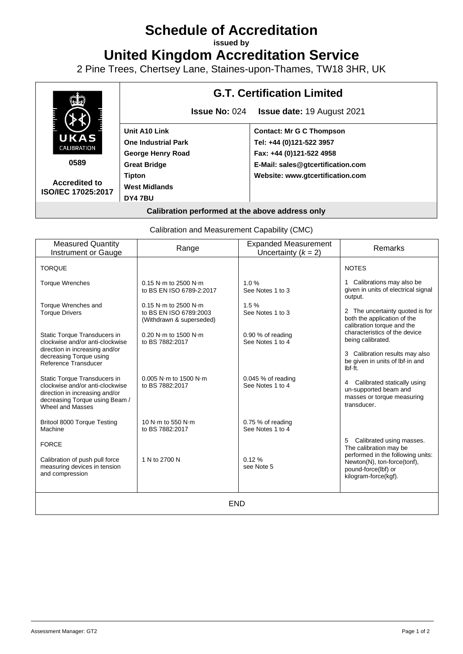# **Schedule of Accreditation**

**issued by**

**United Kingdom Accreditation Service**

2 Pine Trees, Chertsey Lane, Staines-upon-Thames, TW18 3HR, UK



**Accredited to ISO/IEC 17025:2017**

## **G.T. Certification Limited**

**Issue No:** 024 **Issue date:** 19 August 2021

**Tipton West Midlands DY4 7BU**

**Contact: Mr G C Thompson Tel: +44 (0)121-522 3957 Fax: +44 (0)121-522 4958 E-Mail: sales@gtcertification.com Website: www.gtcertification.com**

## **Calibration performed at the above address only**

Calibration and Measurement Capability (CMC)

| <b>Measured Quantity</b><br>Instrument or Gauge                                                                                                         | Range                                                                                        | <b>Expanded Measurement</b><br>Uncertainty $(k = 2)$ | Remarks                                                                                                         |
|---------------------------------------------------------------------------------------------------------------------------------------------------------|----------------------------------------------------------------------------------------------|------------------------------------------------------|-----------------------------------------------------------------------------------------------------------------|
| <b>TORQUE</b>                                                                                                                                           |                                                                                              |                                                      | <b>NOTES</b>                                                                                                    |
| <b>Torque Wrenches</b>                                                                                                                                  | $0.15$ N·m to 2500 N·m<br>to BS EN ISO 6789-2:2017                                           | 1.0%<br>See Notes 1 to 3                             | 1 Calibrations may also be<br>given in units of electrical signal<br>output.                                    |
| Torque Wrenches and<br><b>Torque Drivers</b>                                                                                                            | $0.15$ N $\cdot$ m to 2500 N $\cdot$ m<br>to BS EN ISO 6789:2003<br>(Withdrawn & superseded) | 1.5%<br>See Notes 1 to 3                             | 2 The uncertainty quoted is for<br>both the application of the<br>calibration torque and the                    |
| Static Torque Transducers in<br>clockwise and/or anti-clockwise<br>direction in increasing and/or                                                       | 0.20 N·m to 1500 N·m<br>to BS 7882:2017                                                      | 0.90 % of reading<br>See Notes 1 to 4                | characteristics of the device<br>being calibrated.                                                              |
| decreasing Torque using<br>Reference Transducer                                                                                                         |                                                                                              |                                                      | 3 Calibration results may also<br>be given in units of lbf in and<br>lbf.ft.                                    |
| Static Torque Transducers in<br>clockwise and/or anti-clockwise<br>direction in increasing and/or<br>decreasing Torque using Beam /<br>Wheel and Masses | $0.005$ N·m to 1500 N·m<br>to BS 7882:2017                                                   | $0.045$ % of reading<br>See Notes 1 to 4             | 4 Calibrated statically using<br>un-supported beam and<br>masses or torque measuring<br>transducer.             |
| Britool 8000 Torque Testing<br>Machine                                                                                                                  | 10 N·m to 550 N·m<br>to BS 7882:2017                                                         | 0.75 % of reading<br>See Notes 1 to 4                |                                                                                                                 |
| <b>FORCE</b>                                                                                                                                            |                                                                                              |                                                      | 5 Calibrated using masses.<br>The calibration may be                                                            |
| Calibration of push pull force<br>measuring devices in tension<br>and compression                                                                       | 1 N to 2700 N                                                                                | 0.12%<br>see Note 5                                  | performed in the following units:<br>Newton(N), ton-force(tonf),<br>pound-force(lbf) or<br>kilogram-force(kgf). |
| <b>END</b>                                                                                                                                              |                                                                                              |                                                      |                                                                                                                 |